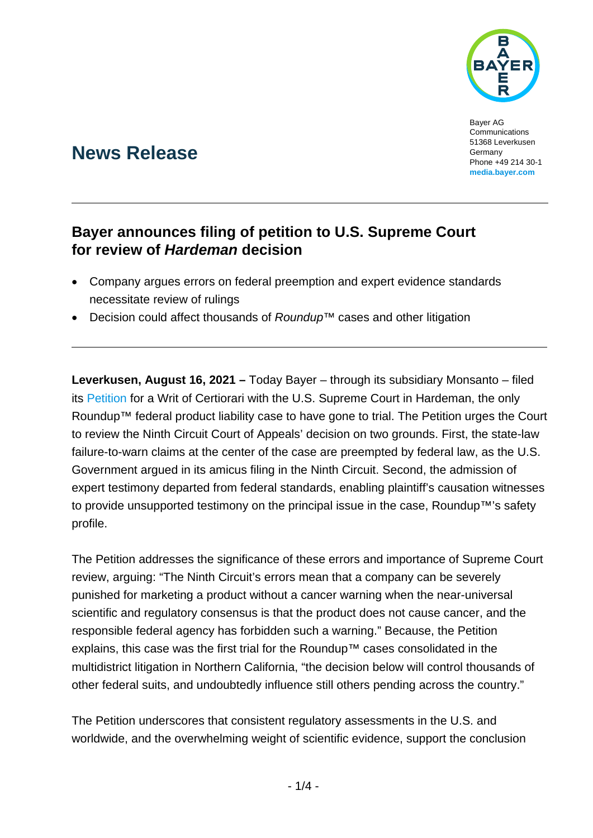

Bayer AG Communications 51368 Leverkusen Germany Phone +49 214 30-1 **[media.bayer.com](http://media.bayer.com/)**

# **News Release**

## **Bayer announces filing of petition to U.S. Supreme Court for review of** *Hardeman* **decision**

- Company argues errors on federal preemption and expert evidence standards necessitate review of rulings
- Decision could affect thousands of *Roundup*™ cases and other litigation

**Leverkusen, August 16, 2021 –** Today Bayer – through its subsidiary Monsanto – filed its [Petition](http://www.glyphosatelitigationfacts.com/main/wp-content/uploads/2021/08/Hardeman-SCOTUS-Petition.pdf) for a Writ of Certiorari with the U.S. Supreme Court in Hardeman, the only Roundup™ federal product liability case to have gone to trial. The Petition urges the Court to review the Ninth Circuit Court of Appeals' decision on two grounds. First, the state-law failure-to-warn claims at the center of the case are preempted by federal law, as the U.S. Government argued in its amicus filing in the Ninth Circuit. Second, the admission of expert testimony departed from federal standards, enabling plaintiff's causation witnesses to provide unsupported testimony on the principal issue in the case, Roundup™'s safety profile.

The Petition addresses the significance of these errors and importance of Supreme Court review, arguing: "The Ninth Circuit's errors mean that a company can be severely punished for marketing a product without a cancer warning when the near-universal scientific and regulatory consensus is that the product does not cause cancer, and the responsible federal agency has forbidden such a warning." Because, the Petition explains, this case was the first trial for the Roundup™ cases consolidated in the multidistrict litigation in Northern California, "the decision below will control thousands of other federal suits, and undoubtedly influence still others pending across the country."

The Petition underscores that consistent regulatory assessments in the U.S. and worldwide, and the overwhelming weight of scientific evidence, support the conclusion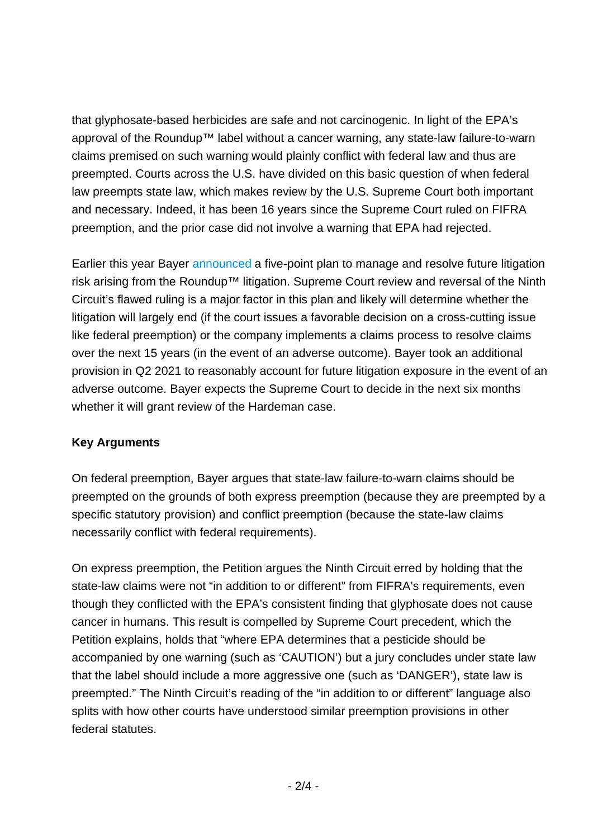that glyphosate-based herbicides are safe and not carcinogenic. In light of the EPA's approval of the Roundup™ label without a cancer warning, any state-law failure-to-warn claims premised on such warning would plainly conflict with federal law and thus are preempted. Courts across the U.S. have divided on this basic question of when federal law preempts state law, which makes review by the U.S. Supreme Court both important and necessary. Indeed, it has been 16 years since the Supreme Court ruled on FIFRA preemption, and the prior case did not involve a warning that EPA had rejected.

Earlier this year Bayer [announced](https://media.bayer.com/baynews/baynews.nsf/id/Bayer-Provides-Update-on-Path-to-Closure-of-Roundup-Litigation) a five-point plan to manage and resolve future litigation risk arising from the Roundup™ litigation. Supreme Court review and reversal of the Ninth Circuit's flawed ruling is a major factor in this plan and likely will determine whether the litigation will largely end (if the court issues a favorable decision on a cross-cutting issue like federal preemption) or the company implements a claims process to resolve claims over the next 15 years (in the event of an adverse outcome). Bayer took an additional provision in Q2 2021 to reasonably account for future litigation exposure in the event of an adverse outcome. Bayer expects the Supreme Court to decide in the next six months whether it will grant review of the Hardeman case.

### **Key Arguments**

On federal preemption, Bayer argues that state-law failure-to-warn claims should be preempted on the grounds of both express preemption (because they are preempted by a specific statutory provision) and conflict preemption (because the state-law claims necessarily conflict with federal requirements).

On express preemption, the Petition argues the Ninth Circuit erred by holding that the state-law claims were not "in addition to or different" from FIFRA's requirements, even though they conflicted with the EPA's consistent finding that glyphosate does not cause cancer in humans. This result is compelled by Supreme Court precedent, which the Petition explains, holds that "where EPA determines that a pesticide should be accompanied by one warning (such as 'CAUTION') but a jury concludes under state law that the label should include a more aggressive one (such as 'DANGER'), state law is preempted." The Ninth Circuit's reading of the "in addition to or different" language also splits with how other courts have understood similar preemption provisions in other federal statutes.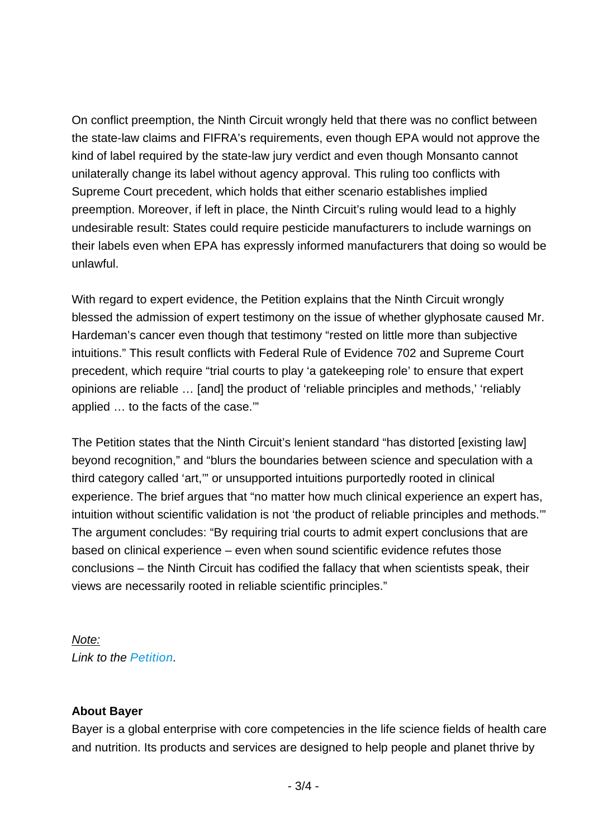On conflict preemption, the Ninth Circuit wrongly held that there was no conflict between the state-law claims and FIFRA's requirements, even though EPA would not approve the kind of label required by the state-law jury verdict and even though Monsanto cannot unilaterally change its label without agency approval. This ruling too conflicts with Supreme Court precedent, which holds that either scenario establishes implied preemption. Moreover, if left in place, the Ninth Circuit's ruling would lead to a highly undesirable result: States could require pesticide manufacturers to include warnings on their labels even when EPA has expressly informed manufacturers that doing so would be unlawful.

With regard to expert evidence, the Petition explains that the Ninth Circuit wrongly blessed the admission of expert testimony on the issue of whether glyphosate caused Mr. Hardeman's cancer even though that testimony "rested on little more than subjective intuitions." This result conflicts with Federal Rule of Evidence 702 and Supreme Court precedent, which require "trial courts to play 'a gatekeeping role' to ensure that expert opinions are reliable … [and] the product of 'reliable principles and methods,' 'reliably applied … to the facts of the case.'"

The Petition states that the Ninth Circuit's lenient standard "has distorted [existing law] beyond recognition," and "blurs the boundaries between science and speculation with a third category called 'art,'" or unsupported intuitions purportedly rooted in clinical experience. The brief argues that "no matter how much clinical experience an expert has, intuition without scientific validation is not 'the product of reliable principles and methods.'" The argument concludes: "By requiring trial courts to admit expert conclusions that are based on clinical experience – even when sound scientific evidence refutes those conclusions – the Ninth Circuit has codified the fallacy that when scientists speak, their views are necessarily rooted in reliable scientific principles."

*Note: Link to the [Petition.](http://www.glyphosatelitigationfacts.com/main/wp-content/uploads/2021/08/Hardeman-SCOTUS-Petition.pdf)* 

#### **About Bayer**

Bayer is a global enterprise with core competencies in the life science fields of health care and nutrition. Its products and services are designed to help people and planet thrive by